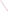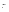# **Technical Factsheet on: COPPER**

[List of Contaminants](http://www.epa.gov/safewater/hfacts.html) 

 As part of the Drinking Water and Health pages, this fact sheet is part of a larger publication: **National Primary Drinking Water Regulations** 

# **Drinking Water Standards**

MCLG: 1.3 mg/L Action Level: > 1.3 mg/L in 10 percent or more of tap water samples HAL(child): none

# **Health Effects Summary**

 Acute and Chronic: Copper is an essential nutrient, but at high doses it has been shown to cause stomach and intestinal distress, liver and kidney damage, and anemia. Persons with Wilson's disease may be at a higher risk of health effects due to copper than the general public.

 from a lifetime exposure in drinking water. Cancer: There is inadequate evidence to state whether or not copper has the potential to cause cancer

# **Usage Patterns**

Copper occurs in drinking water primarily due to its use in plumbing materials.

 raw drinking water supplies or in distributed water. EPA estimates that only 66 water systems have Occurrence in Source Water and Distributed Water. Copper levels above the MCLG are rarely found in copper levels in source water greater than the MCLG.

 Occurrence as a Corrosion By- Product. The primary source of copper in drinking water is corrosion of control the growth of algae. copper pipes, which are widely used throughout the United States for interior plumbing of residences and other buildings. In some cases, copper is a component of additives to drinking water used by systems to

# **Release Patterns**

 identified. Copper is widely distributed in nature in the elemental state, in sulfides, arsenites, chlorides, and carbonates. The element is only superficially oxidized in air, sometimes giving a green coating of black shales 20-300 ppm. Coal is relatively low in copper. Although copper rarely occurs in source water, the following natural and artificial sources have been hydroxy carbonate and hydroxy sulfate. The concentration of copper in the continental crust, generally estimated at 50 ppm, tends to be highest in the ferromagnesium minerals, such as the basalts pyropene and biotite, where it averages 140 ppm. Sandstones contain 10-40 ppm, shales 30-150 ppm, and marine

 In the sedimentary cycle copper is concentrated in the clay mineral fractions with a slight enrichment in those clays rich in organic carbon.

 found to be contaminated with copper in the vicinity of copper mines or smelting works. The principal Smelting operations and municipal incineration may also produce copper. Water and pasture have been source of elevated copper levels in air is copper dust generated by copper processing operations.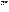water totalled nearly 450 million lbs., of which nearly all was to land. These releases were primarily from From 1987 to 1993, according to the Toxics Release Inventory copper compound releases to land and copper smelting industries. The largest releases occurred in Utah. The largest direct releases to water occurred in Tennessee.

## **Environmental Fate**

 As with lead, all water is corrosive toward copper to some degree, even water termed noncorrosive or water treated to make it less corrosive. Corrosivity toward copper depends primarily on the pH of the water, with very low pHs associated with the highest levels of copper corrosion by-products. Many of the other factors that affect the corrosivity of water toward lead can also be expected to affect the corrosion of copper.

### **Chemical/Physical Properties**

CAS Number: 7440-50-8 (metal)

Color/Form/Odor: Reddish metal which may occur in water as copper salts, the most common of which are the chloride, nitrate and sulfate salts.

Soil sorption coefficient: N/A

Solubilities (g/L water at 20 deg C): Chloride, 770; Nitrate, 1250; Sulfate, 207.

Bioconcentration Factor: N/A

 Chalcopyrite, Chalcocite, Bornite, Tetrahedrite, Enargite, Antlerite Common Ores: Found as sulfides, arsenites, chlorides, and carbonates in the following ores:

| <b>Other Regulatory Information</b>                   |                              |                                                   |                                           |  |
|-------------------------------------------------------|------------------------------|---------------------------------------------------|-------------------------------------------|--|
| <b>Monitoring:</b>                                    | <b>For Copper</b>            | <b>For Water Quality Parameters</b><br>Within the |                                           |  |
| Sampling Site:                                        | At Home Taps                 | Distribution<br>System                            | At Entry to the<br>Distribution<br>System |  |
| <b>Monitoring Period:</b>                             |                              |                                                   |                                           |  |
| Initial                                               | Every 6 months               | Every 6 months                                    | Every 6 months                            |  |
| After corrosion<br>control installation               | Every 6 months               | Every 6 months                                    | Every 2 weeks                             |  |
| <b>Reduced monitoring</b><br>- Conditional<br>- Final | Once a year<br>Every 3 years | Every 6 months<br>Every 3 years                   | Every 2 weeks<br>Every 2 weeks            |  |

#### **Analysis**

EPA 800/4-83-043 220.2; 220.1 Standard Methods 3111-B; 3120

Analysis<br>Reference Source Method Number <sub>Method</sub> Number <sub>M</sub>ethod Number

#### **Treatment/Best Available Technologies**

Source water: Ion exchange; lime softening; reverse osmosis; coagulation/filtration

 inhibition Corrosion Control: pH and alkalinity adjustment; calcium adjustment; silica- or phosphate-based corrosion